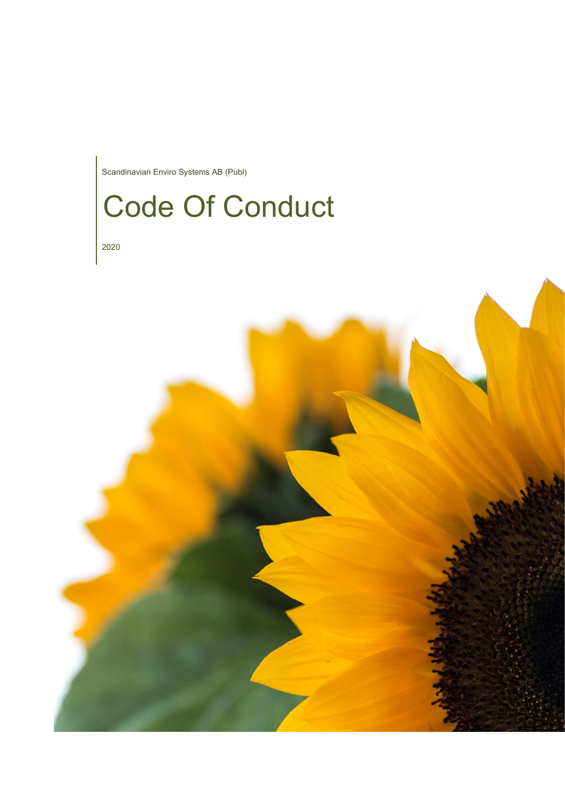Scandinavian Enviro Systems AB (Publ)

# Code Of Conduct

2020

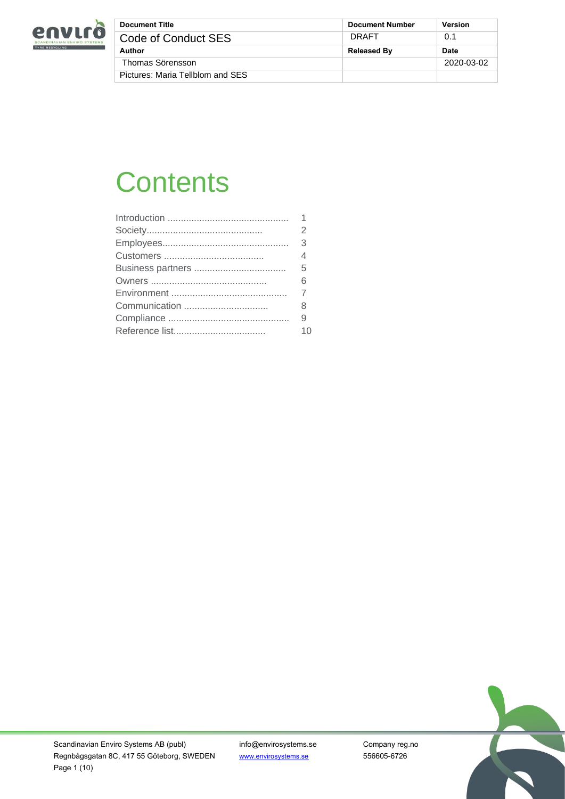

| <b>Document Title</b>            | <b>Document Number</b> | <b>Version</b> |
|----------------------------------|------------------------|----------------|
| Code of Conduct SES              | <b>DRAFT</b>           | 0.1            |
| Author                           | <b>Released By</b>     | Date           |
| Thomas Sörensson                 |                        | 2020-03-02     |
| Pictures: Maria Tellblom and SES |                        |                |

# **Contents**

|               | $\mathcal{P}$  |
|---------------|----------------|
|               | $\mathcal{S}$  |
|               | $\overline{4}$ |
|               | 5              |
|               | 6              |
|               |                |
| Communication | 8              |
|               | 9              |
|               | 10             |
|               |                |

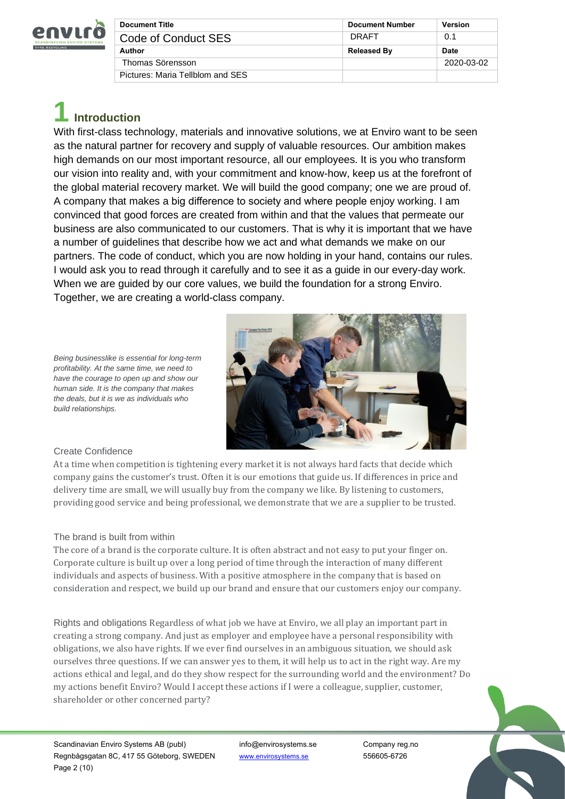

| <b>Document Title</b>            | <b>Document Number</b> | <b>Version</b> |
|----------------------------------|------------------------|----------------|
| Code of Conduct SES              | <b>DRAFT</b>           | 0.1            |
| Author                           | <b>Released By</b>     | Date           |
| Thomas Sörensson                 |                        | 2020-03-02     |
| Pictures: Maria Tellblom and SES |                        |                |

# **1 Introduction**

With first-class technology, materials and innovative solutions, we at Enviro want to be seen as the natural partner for recovery and supply of valuable resources. Our ambition makes high demands on our most important resource, all our employees. It is you who transform our vision into reality and, with your commitment and know-how, keep us at the forefront of the global material recovery market. We will build the good company; one we are proud of. A company that makes a big difference to society and where people enjoy working. I am convinced that good forces are created from within and that the values that permeate our business are also communicated to our customers. That is why it is important that we have a number of guidelines that describe how we act and what demands we make on our partners. The code of conduct, which you are now holding in your hand, contains our rules. I would ask you to read through it carefully and to see it as a guide in our every-day work. When we are guided by our core values, we build the foundation for a strong Enviro. Together, we are creating a world-class company.



# *have the courage to open up and show our human side. It is the company that makes the deals, but it is we as individuals who build relationships.*

*Being businesslike is essential for long-term profitability. At the same time, we need to*

# Create Confidence

At a time when competition is tightening every market it is not always hard facts that decide which company gains the customer's trust. Often it is our emotions that guide us. If differences in price and delivery time are small, we will usually buy from the company we like. By listening to customers, providing good service and being professional, we demonstrate that we are a supplier to be trusted.

# The brand is built from within

The core of a brand is the corporate culture. It is often abstract and not easy to put your finger on. Corporate culture is built up over a long period of time through the interaction of many different individuals and aspects of business. With a positive atmosphere in the company that is based on consideration and respect, we build up our brand and ensure that our customers enjoy our company.

Rights and obligations Regardless of what job we have at Enviro, we all play an important part in creating a strong company. And just as employer and employee have a personal responsibility with obligations, we also have rights. If we ever find ourselves in an ambiguous situation, we should ask ourselves three questions. If we can answer yes to them, it will help us to act in the right way. Are my actions ethical and legal, and do they show respect for the surrounding world and the environment? Do my actions benefit Enviro? Would I accept these actions if I were a colleague, supplier, customer, shareholder or other concerned party?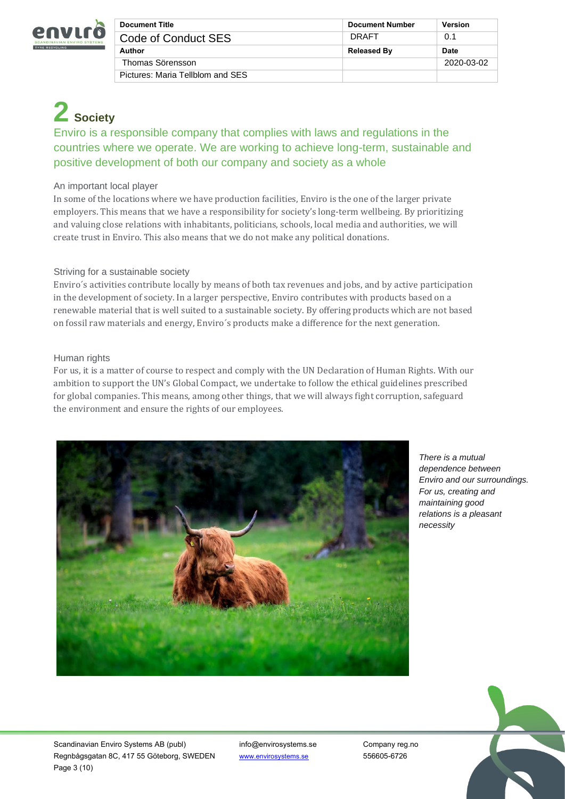

| <b>Document Title</b>            | <b>Document Number</b> | <b>Version</b> |
|----------------------------------|------------------------|----------------|
| Code of Conduct SES              | DRAFT                  | 0.1            |
| Author                           | <b>Released By</b>     | <b>Date</b>    |
| Thomas Sörensson                 |                        | 2020-03-02     |
| Pictures: Maria Tellblom and SES |                        |                |

# **2 Society**

Enviro is a responsible company that complies with laws and regulations in the countries where we operate. We are working to achieve long-term, sustainable and positive development of both our company and society as a whole

# An important local player

In some of the locations where we have production facilities, Enviro is the one of the larger private employers. This means that we have a responsibility for society's long-term wellbeing. By prioritizing and valuing close relations with inhabitants, politicians, schools, local media and authorities, we will create trust in Enviro. This also means that we do not make any political donations.

# Striving for a sustainable society

Enviro´s activities contribute locally by means of both tax revenues and jobs, and by active participation in the development of society. In a larger perspective, Enviro contributes with products based on a renewable material that is well suited to a sustainable society. By offering products which are not based on fossil raw materials and energy, Enviro´s products make a difference for the next generation.

# Human rights

For us, it is a matter of course to respect and comply with the UN Declaration of Human Rights. With our ambition to support the UN's Global Compact, we undertake to follow the ethical guidelines prescribed for global companies. This means, among other things, that we will always fight corruption, safeguard the environment and ensure the rights of our employees.



*There is a mutual dependence between Enviro and our surroundings. For us, creating and maintaining good relations is a pleasant necessity*



Scandinavian Enviro Systems AB (publ) info@envirosystems.se Company reg.no Regnbågsgatan 8C, 417 55 Göteborg, SWEDEN [www.envirosystems.se](http://www.envirosystems.se/) 556605-6726 Page 3 (10)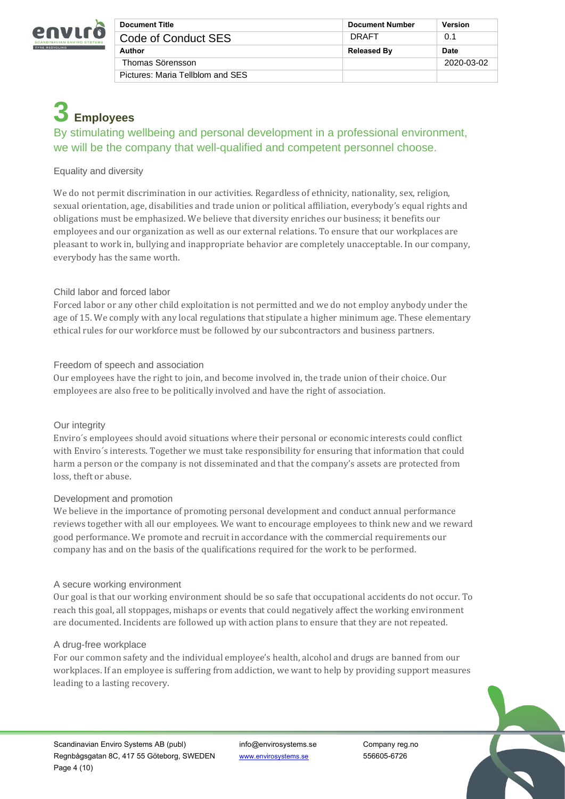

| <b>Document Title</b>            | <b>Document Number</b> | <b>Version</b> |
|----------------------------------|------------------------|----------------|
| Code of Conduct SES              | DRAFT                  | 0.1            |
| Author                           | <b>Released By</b>     | <b>Date</b>    |
| Thomas Sörensson                 |                        | 2020-03-02     |
| Pictures: Maria Tellblom and SES |                        |                |

# **3 Employees**

By stimulating wellbeing and personal development in a professional environment, we will be the company that well-qualified and competent personnel choose.

# Equality and diversity

We do not permit discrimination in our activities. Regardless of ethnicity, nationality, sex, religion, sexual orientation, age, disabilities and trade union or political affiliation, everybody's equal rights and obligations must be emphasized. We believe that diversity enriches our business; it benefits our employees and our organization as well as our external relations. To ensure that our workplaces are pleasant to work in, bullying and inappropriate behavior are completely unacceptable. In our company, everybody has the same worth.

# Child labor and forced labor

Forced labor or any other child exploitation is not permitted and we do not employ anybody under the age of 15. We comply with any local regulations that stipulate a higher minimum age. These elementary ethical rules for our workforce must be followed by our subcontractors and business partners.

# Freedom of speech and association

Our employees have the right to join, and become involved in, the trade union of their choice. Our employees are also free to be politically involved and have the right of association.

# Our integrity

Enviro´s employees should avoid situations where their personal or economic interests could conflict with Enviro's interests. Together we must take responsibility for ensuring that information that could harm a person or the company is not disseminated and that the company's assets are protected from loss, theft or abuse.

# Development and promotion

We believe in the importance of promoting personal development and conduct annual performance reviews together with all our employees. We want to encourage employees to think new and we reward good performance. We promote and recruit in accordance with the commercial requirements our company has and on the basis of the qualifications required for the work to be performed.

# A secure working environment

Our goal is that our working environment should be so safe that occupational accidents do not occur. To reach this goal, all stoppages, mishaps or events that could negatively affect the working environment are documented. Incidents are followed up with action plans to ensure that they are not repeated.

# A drug-free workplace

For our common safety and the individual employee's health, alcohol and drugs are banned from our workplaces. If an employee is suffering from addiction, we want to help by providing support measures leading to a lasting recovery.

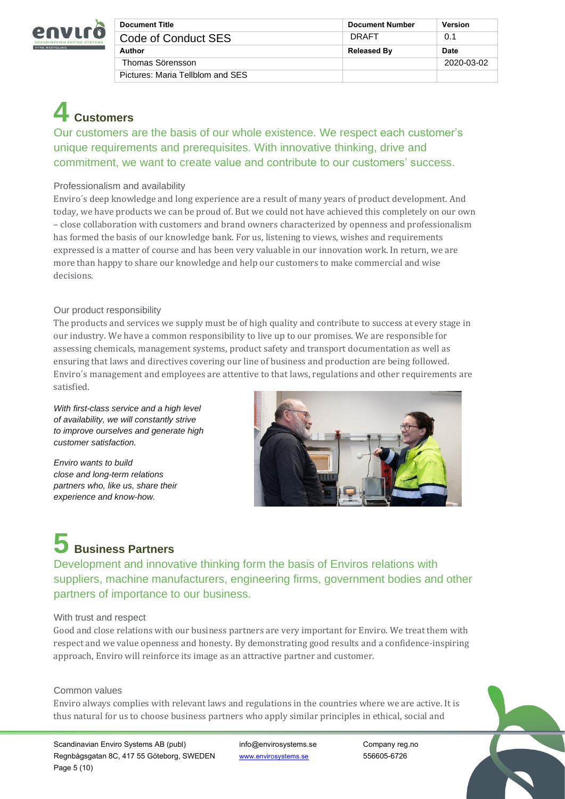

| <b>Document Title</b>            | <b>Document Number</b> | <b>Version</b> |
|----------------------------------|------------------------|----------------|
| Code of Conduct SES              | DRAFT                  | 0.1            |
| Author                           | <b>Released By</b>     | <b>Date</b>    |
| Thomas Sörensson                 |                        | 2020-03-02     |
| Pictures: Maria Tellblom and SES |                        |                |

# **4 Customers**

Our customers are the basis of our whole existence. We respect each customer's unique requirements and prerequisites. With innovative thinking, drive and commitment, we want to create value and contribute to our customers' success.

# Professionalism and availability

Enviro´s deep knowledge and long experience are a result of many years of product development. And today, we have products we can be proud of. But we could not have achieved this completely on our own – close collaboration with customers and brand owners characterized by openness and professionalism has formed the basis of our knowledge bank. For us, listening to views, wishes and requirements expressed is a matter of course and has been very valuable in our innovation work. In return, we are more than happy to share our knowledge and help our customers to make commercial and wise decisions.

# Our product responsibility

The products and services we supply must be of high quality and contribute to success at every stage in our industry. We have a common responsibility to live up to our promises. We are responsible for assessing chemicals, management systems, product safety and transport documentation as well as ensuring that laws and directives covering our line of business and production are being followed. Enviro´s management and employees are attentive to that laws, regulations and other requirements are satisfied.

*With first-class service and a high level of availability, we will constantly strive to improve ourselves and generate high customer satisfaction.*

*Enviro wants to build close and long-term relations partners who, like us, share their experience and know-how.*



# **5 Business Partners**

Development and innovative thinking form the basis of Enviros relations with suppliers, machine manufacturers, engineering firms, government bodies and other partners of importance to our business.

# With trust and respect

Good and close relations with our business partners are very important for Enviro. We treat them with respect and we value openness and honesty. By demonstrating good results and a confidence-inspiring approach, Enviro will reinforce its image as an attractive partner and customer.

### Common values

Enviro always complies with relevant laws and regulations in the countries where we are active. It is thus natural for us to choose business partners who apply similar principles in ethical, social and

Scandinavian Enviro Systems AB (publ) info@envirosystems.se Company reg.no Regnbågsgatan 8C, 417 55 Göteborg, SWEDEN [www.envirosystems.se](http://www.envirosystems.se/) 556605-6726 Page 5 (10)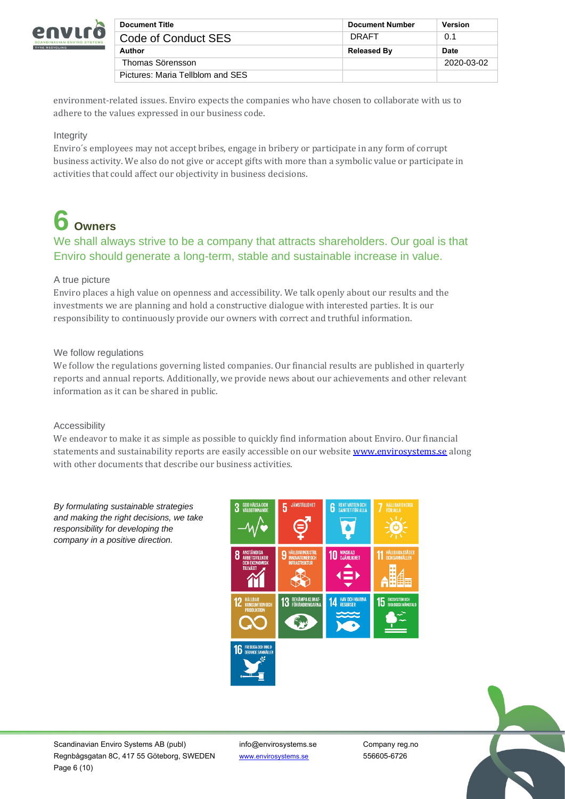

| <b>Document Title</b>            | <b>Document Number</b> | <b>Version</b> |
|----------------------------------|------------------------|----------------|
| Code of Conduct SES              | DRAFT                  | 0.1            |
| Author                           | <b>Released By</b>     | Date           |
| Thomas Sörensson                 |                        | 2020-03-02     |
| Pictures: Maria Tellblom and SES |                        |                |

environment-related issues. Enviro expects the companies who have chosen to collaborate with us to adhere to the values expressed in our business code.

# Integrity

Enviro´s employees may not accept bribes, engage in bribery or participate in any form of corrupt business activity. We also do not give or accept gifts with more than a symbolic value or participate in activities that could affect our objectivity in business decisions.

# **6 Owners**

# We shall always strive to be a company that attracts shareholders. Our goal is that Enviro should generate a long-term, stable and sustainable increase in value.

# A true picture

Enviro places a high value on openness and accessibility. We talk openly about our results and the investments we are planning and hold a constructive dialogue with interested parties. It is our responsibility to continuously provide our owners with correct and truthful information.

# We follow regulations

We follow the regulations governing listed companies. Our financial results are published in quarterly reports and annual reports. Additionally, we provide news about our achievements and other relevant information as it can be shared in public.

### Accessibility

We endeavor to make it as simple as possible to quickly find information about Enviro. Our financial statements and sustainability reports are easily accessible on our website **[www.envirosystems.se](http://www.envirosystems.se/)** along with other documents that describe our business activities.

*By formulating sustainable strategies and making the right decisions, we take responsibility for developing the company in a positive direction.*



Scandinavian Enviro Systems AB (publ) info@envirosystems.se Company reg.no Regnbågsgatan 8C, 417 55 Göteborg, SWEDEN [www.envirosystems.se](http://www.envirosystems.se/) 556605-6726 Page 6 (10)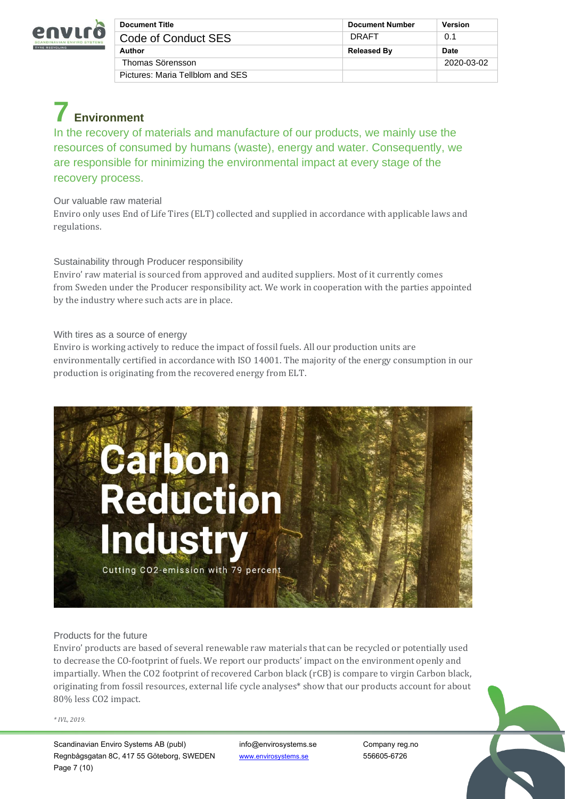

| <b>Document Title</b>            | <b>Document Number</b> | <b>Version</b> |
|----------------------------------|------------------------|----------------|
| Code of Conduct SES              | DRAFT                  | 0.1            |
| Author                           | <b>Released By</b>     | <b>Date</b>    |
| Thomas Sörensson                 |                        | 2020-03-02     |
| Pictures: Maria Tellblom and SES |                        |                |

# **7 Environment**

In the recovery of materials and manufacture of our products, we mainly use the resources of consumed by humans (waste), energy and water. Consequently, we are responsible for minimizing the environmental impact at every stage of the recovery process.

# Our valuable raw material

Enviro only uses End of Life Tires (ELT) collected and supplied in accordance with applicable laws and regulations.

# Sustainability through Producer responsibility

Enviro' raw material is sourced from approved and audited suppliers. Most of it currently comes from Sweden under the Producer responsibility act. We work in cooperation with the parties appointed by the industry where such acts are in place.

# With tires as a source of energy

Enviro is working actively to reduce the impact of fossil fuels. All our production units are environmentally certified in accordance with ISO 14001. The majority of the energy consumption in our production is originating from the recovered energy from ELT.



# Products for the future

Enviro' products are based of several renewable raw materials that can be recycled or potentially used to decrease the CO-footprint of fuels. We report our products' impact on the environment openly and impartially. When the CO2 footprint of recovered Carbon black (rCB) is compare to virgin Carbon black, originating from fossil resources, external life cycle analyses\* show that our products account for about 80% less CO2 impact.

#### *\* IVL, 2019.*

Scandinavian Enviro Systems AB (publ) info@envirosystems.se Company reg.no Regnbågsgatan 8C, 417 55 Göteborg, SWEDEN [www.envirosystems.se](http://www.envirosystems.se/) 556605-6726 Page 7 (10)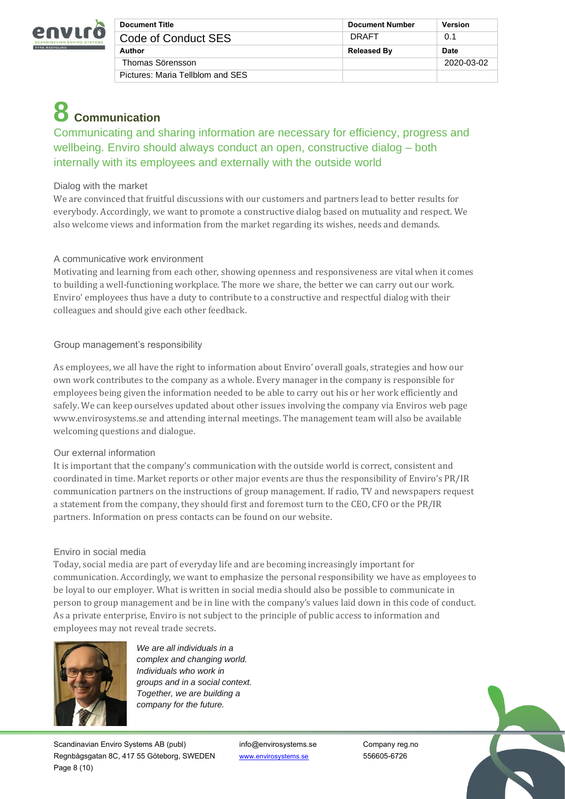

| <b>Document Title</b>            | <b>Document Number</b> | <b>Version</b> |
|----------------------------------|------------------------|----------------|
| Code of Conduct SES              | DRAFT                  | 0.1            |
| Author                           | <b>Released By</b>     | <b>Date</b>    |
| Thomas Sörensson                 |                        | 2020-03-02     |
| Pictures: Maria Tellblom and SES |                        |                |

# **8 Communication**

Communicating and sharing information are necessary for efficiency, progress and wellbeing. Enviro should always conduct an open, constructive dialog – both internally with its employees and externally with the outside world

# Dialog with the market

We are convinced that fruitful discussions with our customers and partners lead to better results for everybody. Accordingly, we want to promote a constructive dialog based on mutuality and respect. We also welcome views and information from the market regarding its wishes, needs and demands.

# A communicative work environment

Motivating and learning from each other, showing openness and responsiveness are vital when it comes to building a well-functioning workplace. The more we share, the better we can carry out our work. Enviro' employees thus have a duty to contribute to a constructive and respectful dialog with their colleagues and should give each other feedback.

# Group management's responsibility

As employees, we all have the right to information about Enviro' overall goals, strategies and how our own work contributes to the company as a whole. Every manager in the company is responsible for employees being given the information needed to be able to carry out his or her work efficiently and safely. We can keep ourselves updated about other issues involving the company via Enviros web page www.envirosystems.se and attending internal meetings. The management team will also be available welcoming questions and dialogue.

### Our external information

It is important that the company's communication with the outside world is correct, consistent and coordinated in time. Market reports or other major events are thus the responsibility of Enviro's PR/IR communication partners on the instructions of group management. If radio, TV and newspapers request a statement from the company, they should first and foremost turn to the CEO, CFO or the PR/IR partners. Information on press contacts can be found on our website.

### Enviro in social media

Today, social media are part of everyday life and are becoming increasingly important for communication. Accordingly, we want to emphasize the personal responsibility we have as employees to be loyal to our employer. What is written in social media should also be possible to communicate in person to group management and be in line with the company's values laid down in this code of conduct. As a private enterprise, Enviro is not subject to the principle of public access to information and employees may not reveal trade secrets.



*We are all individuals in a complex and changing world. Individuals who work in groups and in a social context. Together, we are building a company for the future.*

Scandinavian Enviro Systems AB (publ) info@envirosystems.se Company reg.no Regnbågsgatan 8C, 417 55 Göteborg, SWEDEN [www.envirosystems.se](http://www.envirosystems.se/) 556605-6726 Page 8 (10)

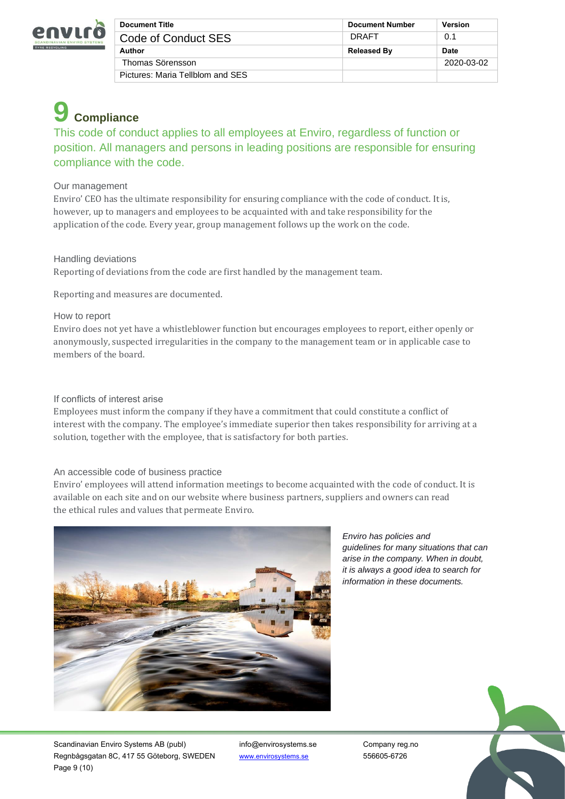

| <b>Document Title</b>            | <b>Document Number</b> | <b>Version</b> |
|----------------------------------|------------------------|----------------|
| Code of Conduct SES              | DRAFT                  | 0.1            |
| Author                           | <b>Released By</b>     | <b>Date</b>    |
| Thomas Sörensson                 |                        | 2020-03-02     |
| Pictures: Maria Tellblom and SES |                        |                |

# **9 Compliance**

This code of conduct applies to all employees at Enviro, regardless of function or position. All managers and persons in leading positions are responsible for ensuring compliance with the code.

# Our management

Enviro' CEO has the ultimate responsibility for ensuring compliance with the code of conduct. It is, however, up to managers and employees to be acquainted with and take responsibility for the application of the code. Every year, group management follows up the work on the code.

Handling deviations

Reporting of deviations from the code are first handled by the management team.

Reporting and measures are documented.

# How to report

Enviro does not yet have a whistleblower function but encourages employees to report, either openly or anonymously, suspected irregularities in the company to the management team or in applicable case to members of the board.

# If conflicts of interest arise

Employees must inform the company if they have a commitment that could constitute a conflict of interest with the company. The employee's immediate superior then takes responsibility for arriving at a solution, together with the employee, that is satisfactory for both parties.

### An accessible code of business practice

Enviro' employees will attend information meetings to become acquainted with the code of conduct. It is available on each site and on our website where business partners, suppliers and owners can read the ethical rules and values that permeate Enviro.



*Enviro has policies and guidelines for many situations that can arise in the company. When in doubt, it is always a good idea to search for information in these documents.*

Scandinavian Enviro Systems AB (publ) info@envirosystems.se Company reg.no Regnbågsgatan 8C, 417 55 Göteborg, SWEDEN [www.envirosystems.se](http://www.envirosystems.se/) 556605-6726 Page 9 (10)